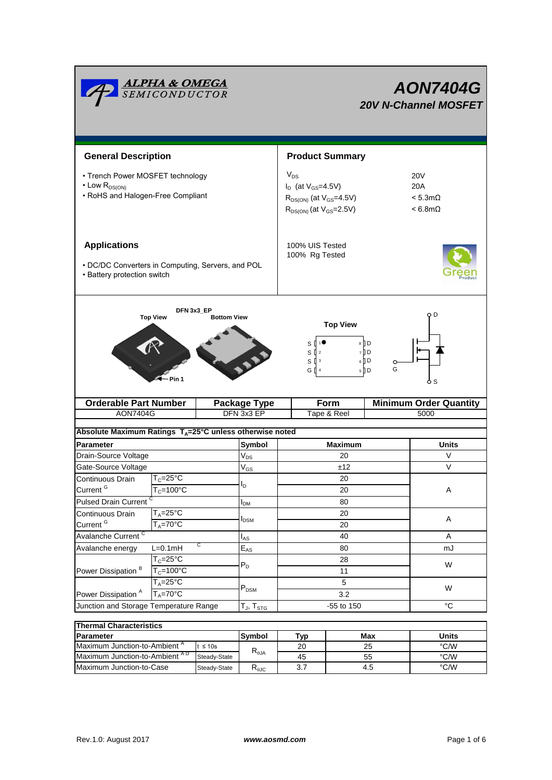|                                                                                                         | <u><b>ALPHA &amp; OMEGA</b><br/>SEMICONDUCTOR</u> |                                                                                                                 |                                                  |                                   |                                                                    |                                                            |             | <b>AON7404G</b><br><b>20V N-Channel MOSFET</b> |  |  |
|---------------------------------------------------------------------------------------------------------|---------------------------------------------------|-----------------------------------------------------------------------------------------------------------------|--------------------------------------------------|-----------------------------------|--------------------------------------------------------------------|------------------------------------------------------------|-------------|------------------------------------------------|--|--|
| <b>General Description</b>                                                                              |                                                   |                                                                                                                 |                                                  | <b>Product Summary</b>            |                                                                    |                                                            |             |                                                |  |  |
| • Trench Power MOSFET technology<br>$\cdot$ Low $R_{DS(ON)}$<br>• RoHS and Halogen-Free Compliant       |                                                   | $V_{DS}$<br>$I_D$ (at $V_{GS}$ =4.5V)<br>$R_{DS(ON)}$ (at $V_{GS} = 4.5V$ )<br>$R_{DS(ON)}$ (at $V_{GS}$ =2.5V) |                                                  |                                   |                                                                    | 20V<br>20A<br>$< 5.3 \text{m}\Omega$<br>$< 6.8$ m $\Omega$ |             |                                                |  |  |
| <b>Applications</b><br>• DC/DC Converters in Computing, Servers, and POL<br>• Battery protection switch |                                                   |                                                                                                                 |                                                  | 100% UIS Tested<br>100% Rg Tested |                                                                    |                                                            |             |                                                |  |  |
|                                                                                                         | DFN 3x3_EP<br><b>Top View</b><br>- Pin 1          | <b>Bottom View</b>                                                                                              |                                                  |                                   | <b>Top View</b><br>S<br>$S^{2}$<br>$S^{3}$<br>GП<br>$\overline{4}$ | $8$ D<br>$7 \n  D$<br>$6$ D<br>$5$ D                       | O<br>G      | O D<br>ბs                                      |  |  |
| <b>Orderable Part Number</b>                                                                            |                                                   | <b>Package Type</b>                                                                                             | Form                                             |                                   |                                                                    | <b>Minimum Order Quantity</b>                              |             |                                                |  |  |
| <b>AON7404G</b>                                                                                         |                                                   |                                                                                                                 | DFN 3x3 EP<br>Tape & Reel                        |                                   |                                                                    |                                                            |             | 5000                                           |  |  |
| Absolute Maximum Ratings $T_A = 25^\circ \text{C}$ unless otherwise noted                               |                                                   |                                                                                                                 |                                                  |                                   |                                                                    |                                                            |             |                                                |  |  |
| Parameter                                                                                               |                                                   |                                                                                                                 | Symbol                                           |                                   | <b>Maximum</b>                                                     |                                                            |             | <b>Units</b>                                   |  |  |
| Drain-Source Voltage                                                                                    |                                                   |                                                                                                                 | $V_{DS}$                                         | 20                                |                                                                    |                                                            |             | V                                              |  |  |
| Gate-Source Voltage                                                                                     |                                                   |                                                                                                                 | $\mathsf{V}_{\mathsf{GS}}$                       | ±12                               |                                                                    |                                                            |             | $\vee$                                         |  |  |
| Continuous Drain                                                                                        | $T_c = 25$ °C                                     |                                                                                                                 |                                                  | 20                                |                                                                    |                                                            |             |                                                |  |  |
| Current <sup>G</sup>                                                                                    | $T_c = 100°C$                                     |                                                                                                                 | ΙD                                               | 20                                |                                                                    |                                                            | Α           |                                                |  |  |
| <b>Pulsed Drain Current</b>                                                                             |                                                   | 80<br>$I_{DM}$                                                                                                  |                                                  |                                   |                                                                    |                                                            |             |                                                |  |  |
| Continuous Drain                                                                                        | $T_A = 25$ °C                                     |                                                                                                                 |                                                  | 20                                |                                                                    |                                                            |             |                                                |  |  |
| Current <sup>G</sup><br>$T_A = 70$ °C                                                                   |                                                   | <b>I</b> <sub>DSM</sub>                                                                                         | 20                                               |                                   |                                                                    | A                                                          |             |                                                |  |  |
| Avalanche Current <sup>C</sup>                                                                          |                                                   |                                                                                                                 | $I_{AS}$                                         | 40                                |                                                                    |                                                            |             | Α                                              |  |  |
| C<br>$L=0.1mH$<br>Avalanche energy                                                                      |                                                   | $\mathsf{E}_{\mathsf{AS}}$                                                                                      | 80                                               |                                   |                                                                    |                                                            |             | mJ                                             |  |  |
| Power Dissipation <sup>B</sup>                                                                          | $T_c = 25$ °C                                     |                                                                                                                 |                                                  | 28                                |                                                                    |                                                            |             |                                                |  |  |
|                                                                                                         | $T_c = 100^{\circ}$ C                             | $P_D$                                                                                                           |                                                  | 11                                |                                                                    |                                                            |             | W                                              |  |  |
|                                                                                                         | $T_A = 25^{\circ}$ C                              |                                                                                                                 |                                                  |                                   | 5                                                                  |                                                            |             | W                                              |  |  |
| Power Dissipation <sup>A</sup>                                                                          | $T_A = 70^\circ C$                                |                                                                                                                 | $\mathsf{P}_\mathsf{DSM}$                        | 3.2                               |                                                                    |                                                            |             |                                                |  |  |
| Junction and Storage Temperature Range                                                                  |                                                   |                                                                                                                 | -55 to 150<br>$T_{\mathsf{J}}, T_{\mathsf{STG}}$ |                                   |                                                                    |                                                            | $^{\circ}C$ |                                                |  |  |
|                                                                                                         |                                                   |                                                                                                                 |                                                  |                                   |                                                                    |                                                            |             |                                                |  |  |
| <b>Thermal Characteristics</b>                                                                          |                                                   |                                                                                                                 |                                                  |                                   |                                                                    |                                                            |             |                                                |  |  |

| <b>Thermal Characteristics</b>            |               |                |     |       |      |  |  |  |
|-------------------------------------------|---------------|----------------|-----|-------|------|--|--|--|
| <b>IParameter</b>                         | <b>Symbol</b> | ™vp            | Max | Units |      |  |  |  |
| Maximum Junction-to-Ambient "             | $\leq 10s$    | $R_{\theta$ JA | 20  | 25    | °C/W |  |  |  |
| Maximum Junction-to-Ambient <sup>AD</sup> | Steady-State  |                | 45  | 55    | °C/W |  |  |  |
| Maximum Junction-to-Case<br>Steady-State  |               | Ւ⊕ЈС           |     | 4.5   | °C/W |  |  |  |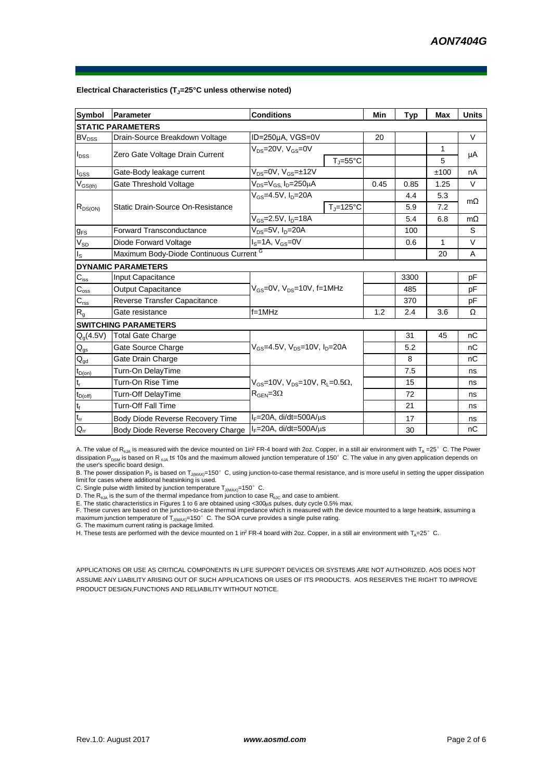| <b>Symbol</b>                           | Parameter                                          | <b>Conditions</b>                                            | Min                 | <b>Typ</b> | Max          | <b>Units</b> |           |
|-----------------------------------------|----------------------------------------------------|--------------------------------------------------------------|---------------------|------------|--------------|--------------|-----------|
|                                         | <b>STATIC PARAMETERS</b>                           |                                                              |                     |            |              |              |           |
| <b>BV<sub>DSS</sub></b>                 | Drain-Source Breakdown Voltage                     | ID=250µA, VGS=0V                                             |                     | 20         |              |              | V         |
| $I_{DSS}$                               | Zero Gate Voltage Drain Current                    | $V_{DS}$ =20V, $V_{GS}$ =0V                                  |                     |            | $\mathbf{1}$ | μA           |           |
|                                         |                                                    |                                                              | $T_i = 55^{\circ}C$ |            |              | 5            |           |
| $I_{GSS}$                               | Gate-Body leakage current                          | $V_{DS} = 0V$ , $V_{GS} = \pm 12V$                           |                     |            |              | ±100         | nA        |
| $\mathsf{V}_{\mathsf{GS}(\mathsf{th})}$ | Gate Threshold Voltage                             | $V_{DS} = V_{GS}$ , $I_D = 250 \mu A$                        |                     | 0.45       | 0.85         | 1.25         | $\vee$    |
| $R_{DS(ON)}$                            |                                                    | $V_{GS} = 4.5V$ , $I_D = 20A$                                |                     |            | 4.4          | 5.3          | $m\Omega$ |
|                                         | Static Drain-Source On-Resistance                  |                                                              | $T_{\rm J}$ =125°C  |            | 5.9          | 7.2          |           |
|                                         |                                                    | $V_{GS} = 2.5V, I_D = 18A$                                   |                     | 5.4        | 6.8          | $m\Omega$    |           |
| $g_{FS}$                                | <b>Forward Transconductance</b>                    | $V_{DS}$ =5V, $I_D$ =20A                                     |                     |            | 100          |              | S         |
| $V_{SD}$                                | Diode Forward Voltage                              | $Is=1A, VGS=0V$                                              |                     |            | 0.6          | 1            | V         |
| $I_{\rm S}$                             | Maximum Body-Diode Continuous Current <sup>G</sup> |                                                              |                     |            |              | 20           | A         |
|                                         | <b>DYNAMIC PARAMETERS</b>                          |                                                              |                     |            |              |              |           |
| $C_{iss}$                               | Input Capacitance                                  | $V_{GS}$ =0V, $V_{DS}$ =10V, f=1MHz                          |                     |            | 3300         |              | рF        |
| $\mathbf{C}_{\text{oss}}$               | Output Capacitance                                 |                                                              |                     |            | 485          |              | рF        |
| $C_{\text{rss}}$                        | Reverse Transfer Capacitance                       |                                                              |                     |            | 370          |              | рF        |
| R <sub>g</sub>                          | Gate resistance                                    | $f = 1$ MHz                                                  |                     | 1.2        | 2.4          | 3.6          | Ω         |
|                                         | <b>SWITCHING PARAMETERS</b>                        |                                                              |                     |            |              |              |           |
| $Q_g(4.5V)$                             | <b>Total Gate Charge</b>                           |                                                              |                     |            | 31           | 45           | nC        |
| $\mathsf{Q}_{\mathsf{gs}}$              | Gate Source Charge                                 | $V_{GS}$ =4.5V, $V_{DS}$ =10V, $I_D$ =20A                    |                     |            | 5.2          |              | nC        |
| $Q_{gd}$                                | Gate Drain Charge                                  |                                                              |                     |            | 8            |              | nC        |
| $t_{D(0n)}$                             | Turn-On DelayTime                                  |                                                              |                     |            | 7.5          |              | ns        |
| $t_r$                                   | Turn-On Rise Time                                  | $V_{GS}$ =10V, $V_{DS}$ =10V, R <sub>L</sub> =0.5 $\Omega$ , |                     |            | 15           |              | ns        |
| $t_{D(off)}$                            | Turn-Off DelayTime                                 | $R_{\text{GEN}} = 3\Omega$                                   |                     |            | 72           |              | ns        |
| $t_f$                                   | <b>Turn-Off Fall Time</b>                          |                                                              |                     |            | 21           |              | ns        |
| $t_{rr}$                                | Body Diode Reverse Recovery Time                   | $I_F = 20A$ , di/dt=500A/ $\mu$ s                            |                     |            | 17           |              | ns        |
| $Q_{rr}$                                | Body Diode Reverse Recovery Charge                 | $I_F = 20A$ , di/dt=500A/us                                  |                     |            | 30           |              | nC        |

#### **Electrical Characteristics (TJ=25°C unless otherwise noted)**

A. The value of R<sub>0JA</sub> is measured with the device mounted on 1in<sup>2</sup> FR-4 board with 2oz. Copper, in a still air environment with T<sub>A</sub> =25°C. The Power dissipation P<sub>DSM</sub> is based on R  $_{AIA}$  t≤ 10s and the maximum allowed junction temperature of 150°C. The value in any given application depends on the user's specific board design.

B. The power dissipation P<sub>D</sub> is based on T<sub>J(MAX)</sub>=150°C, using junction-to-case thermal resistance, and is more useful in setting the upper dissipation limit for cases where additional heatsinking is used.

C. Single pulse width limited by junction temperature  $T_{J(MAX)}$ =150°C.

D. The  $R_{q_0A}$  is the sum of the thermal impedance from junction to case  $R_{q_0C}$  and case to ambient.

E. The static characteristics in Figures 1 to 6 are obtained using <300µs pulses, duty cycle 0.5% max.<br>F. These curves are based on the junction-to-case thermal impedance which is measured with the device mounted to a larg

H. These tests are performed with the device mounted on 1 in<sup>2</sup> FR-4 board with 2oz. Copper, in a still air environment with T<sub>A</sub>=25°C.

APPLICATIONS OR USE AS CRITICAL COMPONENTS IN LIFE SUPPORT DEVICES OR SYSTEMS ARE NOT AUTHORIZED. AOS DOES NOT ASSUME ANY LIABILITY ARISING OUT OF SUCH APPLICATIONS OR USES OF ITS PRODUCTS. AOS RESERVES THE RIGHT TO IMPROVE PRODUCT DESIGN,FUNCTIONS AND RELIABILITY WITHOUT NOTICE.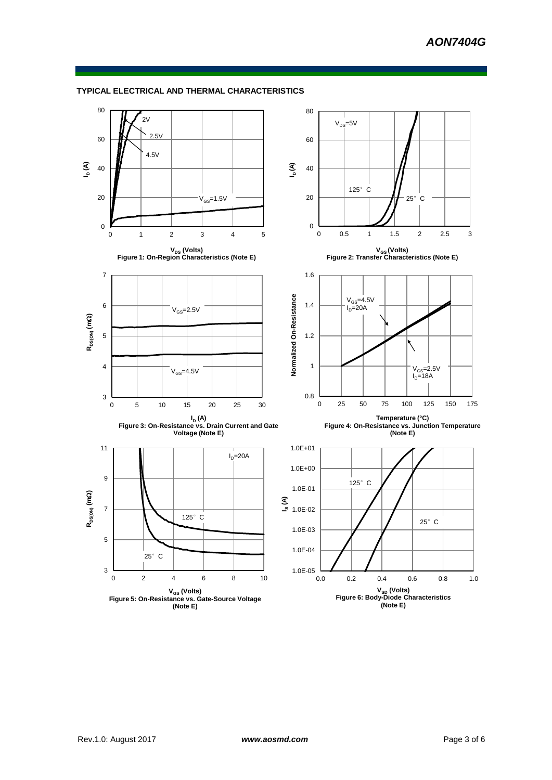## **TYPICAL ELECTRICAL AND THERMAL CHARACTERISTICS**

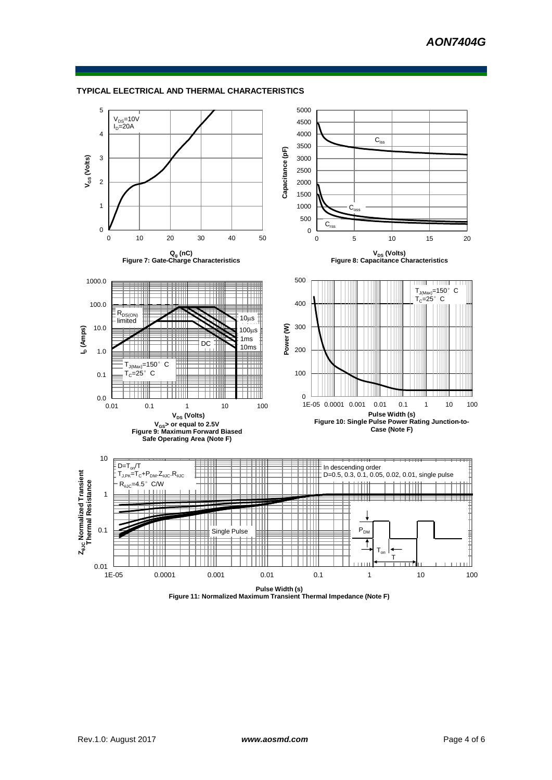

#### **TYPICAL ELECTRICAL AND THERMAL CHARACTERISTICS**

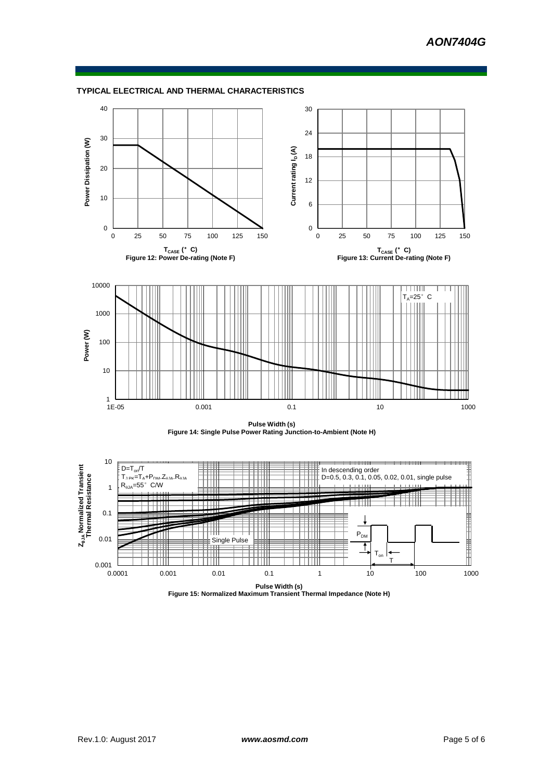